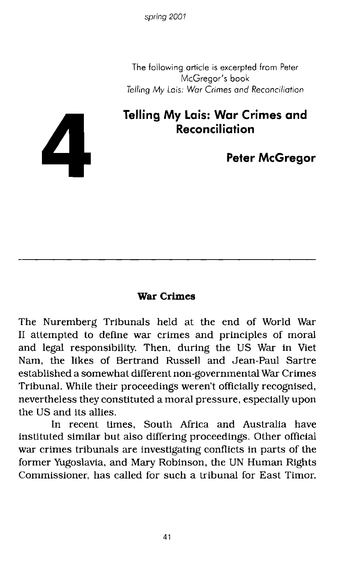The following article is excerpted from Peter McGregor's book *Telling My* Lois: *War Crimes and* Reconciliation

# **Telling My Lois: Wor Crimes and Reconciliation**

**Peter McGregor**

### **War Crimes**

The Nuremberg Tribunals held at the end of World War II attempted to define war crimes and principles of moral and legal responsibility. Then, during the US War in Viet Nam, the likes of Bertrand Russell and Jean-Paul Sartre established a somewhat different non-governmental War Crimes Tribunal. While their proceedings weren't officially recognised, nevertheless they constituted a moral pressure, especially upon the US and its allies.

In recent times, South Mrica and Australia have instituted similar but also differing proceedings. Other official war crimes tribunals are investigating conflicts in parts of the former Yugoslavia, and Mary Robinson, the UN Human Rights Commissioner, has called for such a tribunal for East Timor.

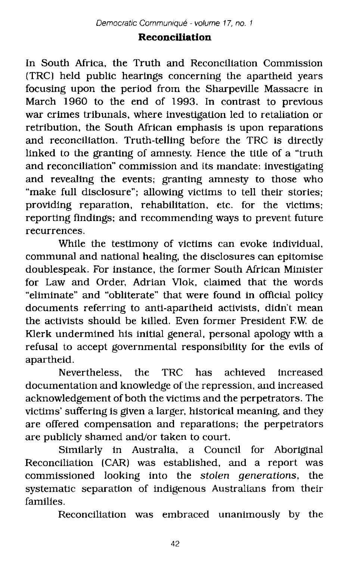## **Reconciliation**

In South Mrica, the Truth and Reconciliation Commission (TRC) held public hearings concerning the apartheid years focusing upon the period from the Sharpeville Massacre in March 1960 to the end of 1993. In contrast to previous war crimes tribunals, where investigation led to retaliation or retribution, the South Mrican emphasis is upon reparations and reconciliation. Truth-telling before the TRC is directly linked to the granting of amnesty. Hence the title of a "truth and reconciliation" commission and its mandate: investigating and revealing the events; granting amnesty to those who "make full disclosure"; allowing victims to tell their stories; providing reparation, rehabilitation, etc. for the victims; reporting findings; and recommending ways to prevent future recurrences.

While the testimony of victims can evoke individual, communal and national healing, the disclosures can epitomise doublespeak. For instance, the former South African Minister for Law and Order, Adrian Vlok, claimed that the words "eliminate" and "obliterate" that were found in official policy documents referring to anti-apartheid activists, didn't mean the activists should be killed. Even former President F.W de Klerk undermined his initial general, personal apology with a refusal to accept governmental responsibility for the evils of apartheid.

Nevertheless, the TRC has achieved increased documentation and knowledge of the repression, and increased acknowledgement of both the victims and the perpetrators. The victims' suffering is given a larger, historical meaning, and they are offered compensation and reparations; the perpetrators are publicly shamed and/or taken to court.

Similarly in Australia, a Council for Aboriginal Reconciliation (CAR) was established, and a report was commissioned looking into the stolen generations, the systematic separation of indigenous Australians from their families.

Reconciliation was embraced unanimously by the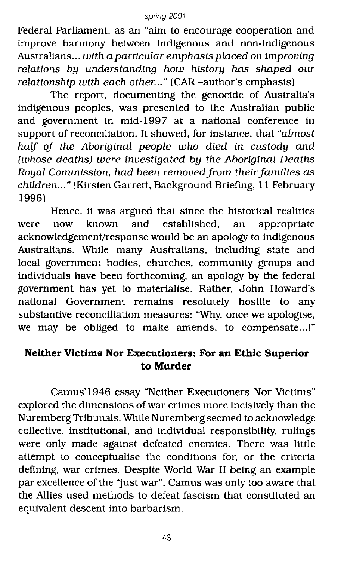Federal Parliament. as an "aim to encourage cooperation and improve harmony between Indigenous and non-Indigenous Australians... with a particular emphasis placed on improving relations by understanding how history has shaped our relationship with each other..." (CAR -author's emphasis)

The report, documenting the genocide of Australia's indigenous peoples, was presented to the Australian public and government in mid-1997 at a national conference in support of reconciliation. It showed, for instance, that "almost half of the Aboriginal people who died in custody and (whose deaths) were investigated by the Aboriginal Deaths Royal Commission, had been removed from their families as children..." (Kirsten Garrett, Background Briefing, 11 February 1996)

Hence, it was argued that since the historical realities<br>now known and established. an appropriate were now known and established, an appropriate acknowledgement/response would be an apology to indigenous Australians. While many Australians, including state and local government bodies, churches, community groups and individuals have been forthcoming, an apology by the federal government has yet to materialise. Rather, John Howard's national Government remains resolutely hostile to any substantive reconciliation measures: "Why, once we apologise, we may be obliged to make amends, to compensate...!"

## **Neither Victims Nor Executioners: For an Ethic Superior to Murder**

Camus'1946 essay "Neither Executioners Nor Victims" explored the dimensions of war crimes more incisively than the Nuremberg Tribunals. While Nuremberg seemed to acknowledge collective, institutional, and individual responsibility, rulings were only made against defeated enemies. There was little attempt to conceptualise the conditions for, or the criteria defining, war crimes. Despite World War II being an example par excellence of the "just war", Camus was only too aware that the Allies used methods to defeat fascism that constituted an eqUivalent descent into barbarism.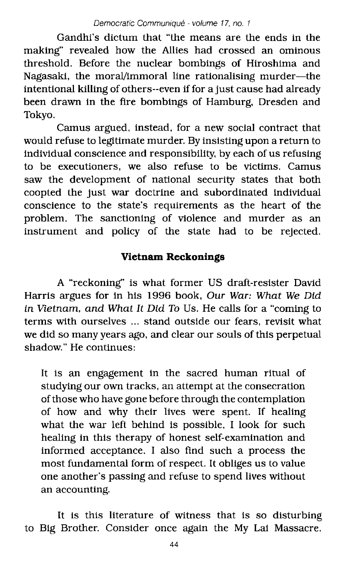Gandhi's dictum that "the means are the ends in the making" revealed how the Allies had crossed an ominous threshold. Before the nuclear bombings of Hiroshima and Nagasaki, the moral/immoral line rationalising murder-the intentional killing of others--even if for a just cause had already been drawn in the fire bombings of Hamburg. Dresden and Tokyo.

Camus argued, instead, for a new social contract that would refuse to legitimate murder. By insisting upon a return to indiVidual conscience and responsibility, by each of us refusing to be executioners, we also refuse to be victims. Camus saw the development of national security states that both coopted the just war doctrine and subordinated individual conscience to the state's reqUirements as the heart of the problem. The sanctioning of violence and murder as an instrument and policy of the state had to be rejected.

## **Vietnam Reckonings**

A "reckoning" is what former US draft-resister DaVid Harris argues for in his 1996 book, Our War: What We Did in Vietnam, and What It Did To Us. He calls for a "coming to terms with ourselves ... stand outside our fears, revisit what we did so many years ago, and clear our souls of this perpetual shadow." He continues:

It is an engagement in the sacred human ritual of studying our own tracks, an attempt at the consecration of those who have gone before through the contemplation of how and why their lives were spent. If healing what the war left behind is possible, I look for such healing in this therapy of honest self-examination and informed acceptance. I also find such a process the most fundamental form of respect. It obliges us to value one another's passing and refuse to spend lives without an accounting.

It is this literature of witness that is so disturbing to Big Brother. Consider once again the My Lai Massacre.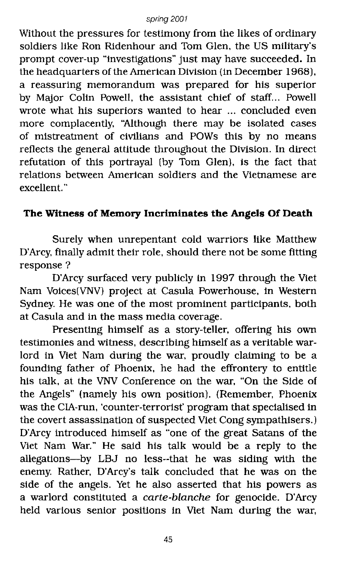Without the pressures for testimony from the likes of ordinary soldiers like Ron Ridenhour and Tom Glen, the US military's prompt cover-up "investigations" just may have succeeded. In the headquarters of the American Division (in December 1968), a reassuring memorandum was prepared for his superior by Major Colin Powell, the assistant chief of staff... Powell wrote what his superiors wanted to hear ... concluded even more complacently, "Although there may be isolated cases of mistreatment of civilians and POWs this by no means reflects the general attitude throughout the Division. In direct refutation of this portrayal (by Tom Glen), is the fact that relations between American soldiers and the Vietnamese are excellent. "

## **The Witness of Memory Incriminates the Angels Of Death**

Surely when unrepentant cold warriors like Matthew D'Arcy, finally admit their role, should there not be some fitting response?

D'Arcy surfaced very publicly in 1997 through the Viet Nam Voices(VNV} project at Casula Powerhouse, in Western Sydney. He was one of the most prominent participants. both at Casula and in the mass media coverage.

Presenting himself as a story-teller. offering his own testimonies and witness, describing himself as a veritable warlord in Viet Nam during the war, proudly claiming to be a founding father of Phoenix, he had the effrontery to entitle his talk, at the VNV Conference on the war, "On the Side of the Angels" (namely his own position). (Remember, Phoenix was the CIA-run, 'counter-terrorist' program that specialised in the covert assassination of suspected Viet Cong sympathisers.) D'Arcy introduced himself as "one of the great Satans of the Viet Nam War." He said his talk would be a reply to the allegations-by LBJ no less--that he was Siding with the enemy. Rather, D'Arcy's talk concluded that he was on the side of the angels. Yet he also asserted that his powers as a warlord constituted a *carte-blanche* for genocide. D'Arcy held various senior positions in Viet Nam during the war,

45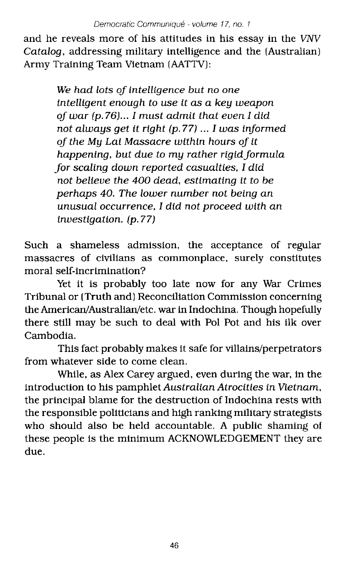and he reveals more of his attitudes in his essay in the VNV Catalog, addressing military intelligence and the (Australian) Army Training Team Vietnam (AATTV):

> We had lots of intelligence but no one intelligent enough to use it as a key weapon oj war (p. 76)... I must admit that even I did not always get it right (p.77) ... I was informed oj the My Lai Massacre within hours oj it happening, but due to my rather rigid formula for scaling down reported casualties, I did not believe the 400 dead, estimating it to be perhaps 40. The lower number not being an unusual occurrence, I did not proceed with an investigation. (p.77)

Such a shameless admission, the acceptance of regular massacres of civilians as commonplace, surely constitutes moral self-incrimination?

Yet it is probably too late now for any War Crimes Tribunal or (Truth and) Reconciliation Commission concerning the American/Australian/etc. war in Indochina. Though hopefully there still may be such to deal with Pol Pot and his ilk over Cambodia.

This fact probably makes it safe for villains/perpetrators from whatever side to come clean.

While, as Alex Carey argued, even during the war, in the introduction to his pamphlet Australian Atrocities in Vietnam, the principal blame for the destruction of Indochina rests with the responsible politicians and high ranking military strategists who should also be held accountable. A public shaming of these people is the minimum ACKNOWLEDGEMENT they are due.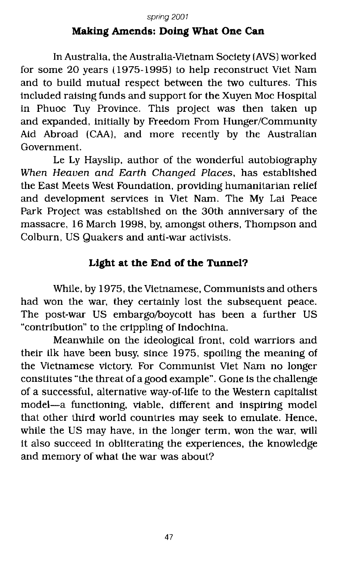## **Making Amends: Doing What One Can**

In Australia. the Australia-Vietnam Society (AVS) worked for some 20 years (1975-1995) to help reconstruct Viet Nam and to build mutual respect between the two cultures. This included raising funds and support for the Xuyen Moc Hospital in Phuoc Tuy Province. This project was then taken up and expanded, initially by Freedom From Hunger/Community Aid Abroad (CAA), and more recently by the Australian Government.

Le Ly Hayslip. author of the wonderful autobiography When Heaven and Earth Changed Places, has established the East Meets West Foundation, providing humanitarian relief and development services in Viet Nam. The My Lai Peace Park Project was established on the 30th anniversary of the massacre, 16 March 1998, by, amongst others, Thompson and Colburn, US Quakers and anti-war activists.

## **Light at the End** of the **Tunnel?**

While. by 1975, the Vietnamese, Communists and others had won the war, they certainly lost the subsequent peace. The post-war US embargo/boycott has been a further US "contribution" to the crippling of Indochina.

Meanwhile on the ideological front, cold warriors and their ilk have been busy, since 1975, spoiling the meaning of the Vietnamese victory. For Communist Viet Nam no longer constitutes "the threat of a good example". Gone is the challenge of a successful, alternative way-of-life to the Western capitalist model-a functioning, viable, different and inspiring model that other third world countries may seek to emulate. Hence, while the US may have, in the longer term, won the war, will it also succeed in obliterating the experiences, the knowledge and memory of what the war was about?